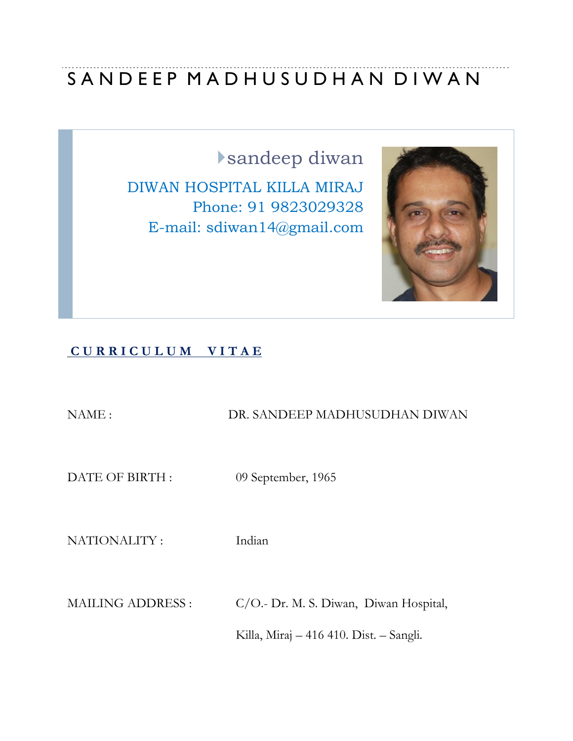# SANDEEP MADHUSUDHAN DIWAN

sandeep diwan

DIWAN HOSPITAL KILLA MIRAJ Phone: 91 9823029328 E-mail: sdiwan14@gmail.com



# **C U R R I C U L U M V I T A E**

NAME : DR. SANDEEP MADHUSUDHAN DIWAN DATE OF BIRTH : 09 September, 1965

NATIONALITY : Indian

MAILING ADDRESS : C/O.- Dr. M. S. Diwan, Diwan Hospital,

Killa, Miraj – 416 410. Dist. – Sangli.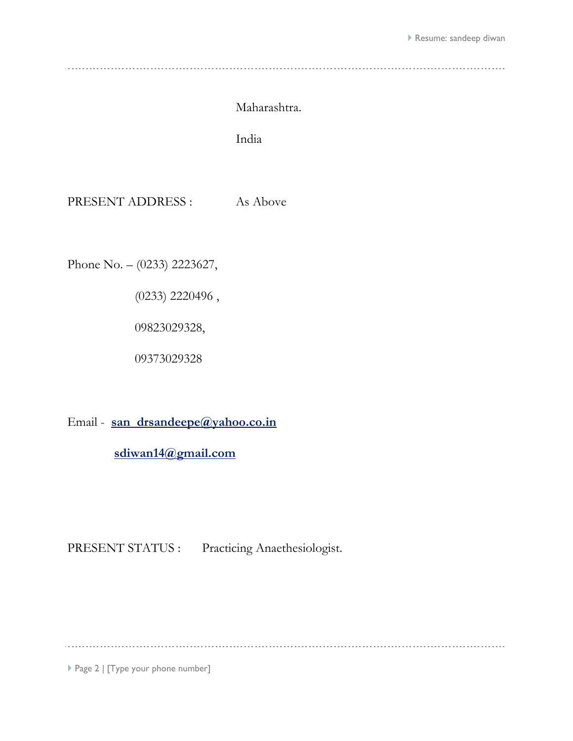## Maharashtra.

India

PRESENT ADDRESS : As Above

Phone No. – (0233) 2223627,

(0233) 2220496 ,

09823029328,

09373029328

Email - **[san\\_drsandeepe@yahoo.co.in](mailto:san_drsandeepe@yahoo.co.in)**

 **[sdiwan14@gmail.com](mailto:sdiwan14@gmail.com)**

PRESENT STATUS : Practicing Anaethesiologist.

Page 2 | [Type your phone number]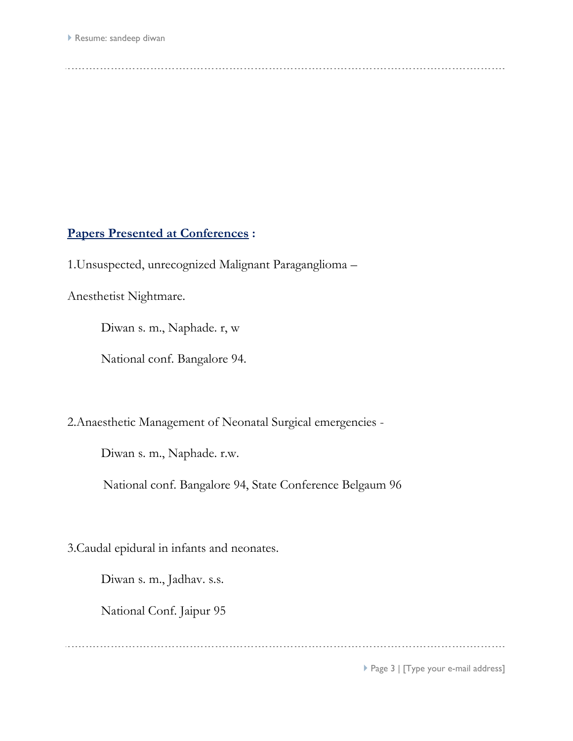# **Papers Presented at Conferences :**

1.Unsuspected, unrecognized Malignant Paraganglioma –

Anesthetist Nightmare.

Diwan s. m., Naphade. r, w

National conf. Bangalore 94.

2.Anaesthetic Management of Neonatal Surgical emergencies -

Diwan s. m., Naphade. r.w.

National conf. Bangalore 94, State Conference Belgaum 96

3.Caudal epidural in infants and neonates.

Diwan s. m., Jadhav. s.s.

National Conf. Jaipur 95

▶ Page 3 | [Type your e-mail address]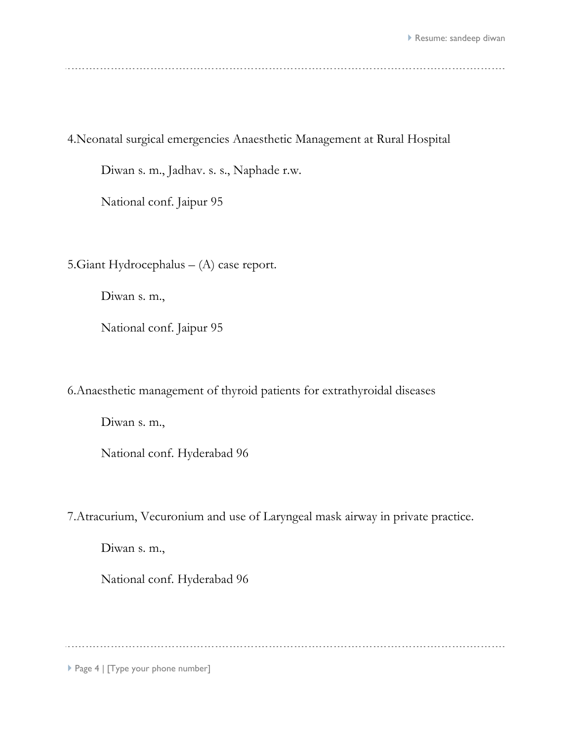4.Neonatal surgical emergencies Anaesthetic Management at Rural Hospital

Diwan s. m., Jadhav. s. s., Naphade r.w.

National conf. Jaipur 95

5.Giant Hydrocephalus – (A) case report.

Diwan s. m.,

National conf. Jaipur 95

6.Anaesthetic management of thyroid patients for extrathyroidal diseases

Diwan s. m.,

National conf. Hyderabad 96

7.Atracurium, Vecuronium and use of Laryngeal mask airway in private practice.

Diwan s. m.,

National conf. Hyderabad 96

Page 4 | [Type your phone number]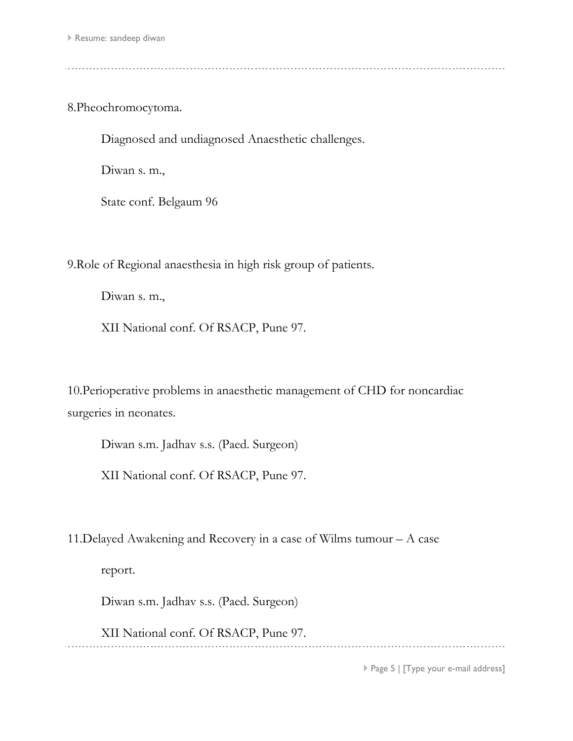8.Pheochromocytoma.

Diagnosed and undiagnosed Anaesthetic challenges.

Diwan s. m.,

State conf. Belgaum 96

9.Role of Regional anaesthesia in high risk group of patients.

Diwan s. m.,

XII National conf. Of RSACP, Pune 97.

10.Perioperative problems in anaesthetic management of CHD for noncardiac surgeries in neonates.

Diwan s.m. Jadhav s.s. (Paed. Surgeon)

XII National conf. Of RSACP, Pune 97.

11.Delayed Awakening and Recovery in a case of Wilms tumour – A case

report.

Diwan s.m. Jadhav s.s. (Paed. Surgeon)

XII National conf. Of RSACP, Pune 97.

▶ Page 5 | [Type your e-mail address]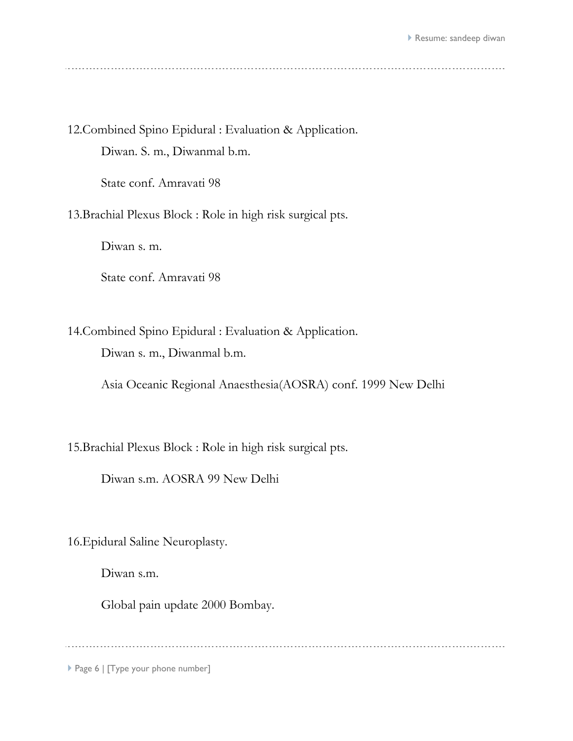12.Combined Spino Epidural : Evaluation & Application. Diwan. S. m., Diwanmal b.m.

State conf. Amravati 98

13.Brachial Plexus Block : Role in high risk surgical pts.

Diwan s. m.

State conf. Amravati 98

14.Combined Spino Epidural : Evaluation & Application.

Diwan s. m., Diwanmal b.m.

Asia Oceanic Regional Anaesthesia(AOSRA) conf. 1999 New Delhi

15.Brachial Plexus Block : Role in high risk surgical pts.

Diwan s.m. AOSRA 99 New Delhi

16.Epidural Saline Neuroplasty.

Diwan s.m.

Global pain update 2000 Bombay.

Page 6 | [Type your phone number]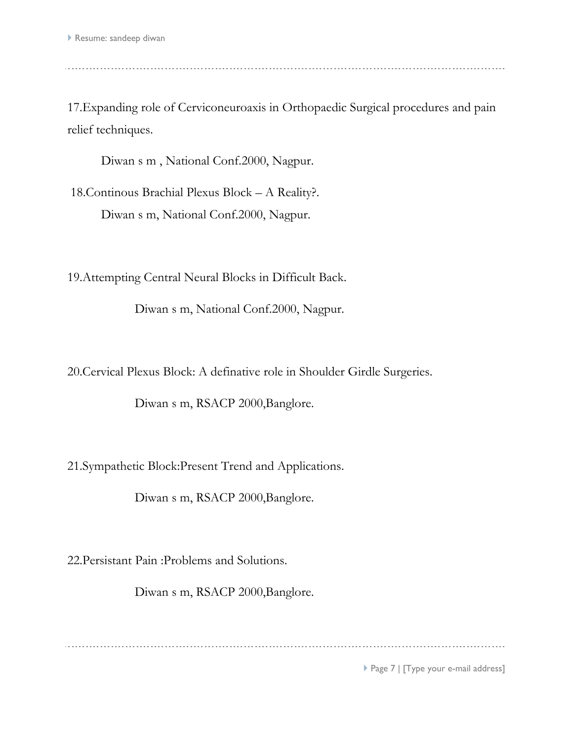17.Expanding role of Cerviconeuroaxis in Orthopaedic Surgical procedures and pain relief techniques.

Diwan s m , National Conf.2000, Nagpur.

18.Continous Brachial Plexus Block – A Reality?. Diwan s m, National Conf.2000, Nagpur.

19.Attempting Central Neural Blocks in Difficult Back.

Diwan s m, National Conf.2000, Nagpur.

20.Cervical Plexus Block: A definative role in Shoulder Girdle Surgeries.

Diwan s m, RSACP 2000,Banglore.

21.Sympathetic Block:Present Trend and Applications.

Diwan s m, RSACP 2000,Banglore.

22.Persistant Pain :Problems and Solutions.

Diwan s m, RSACP 2000,Banglore.

▶ Page 7 | [Type your e-mail address]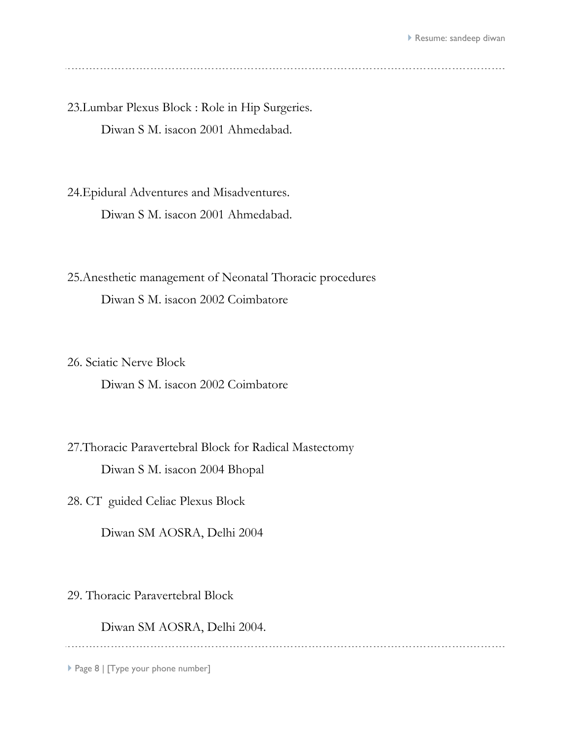23.Lumbar Plexus Block : Role in Hip Surgeries. Diwan S M. isacon 2001 Ahmedabad.

24.Epidural Adventures and Misadventures. Diwan S M. isacon 2001 Ahmedabad.

25.Anesthetic management of Neonatal Thoracic procedures Diwan S M. isacon 2002 Coimbatore

26. Sciatic Nerve Block

Diwan S M. isacon 2002 Coimbatore

27.Thoracic Paravertebral Block for Radical Mastectomy Diwan S M. isacon 2004 Bhopal

28. CT guided Celiac Plexus Block

Diwan SM AOSRA, Delhi 2004

29. Thoracic Paravertebral Block

Diwan SM AOSRA, Delhi 2004.

Page 8 | [Type your phone number]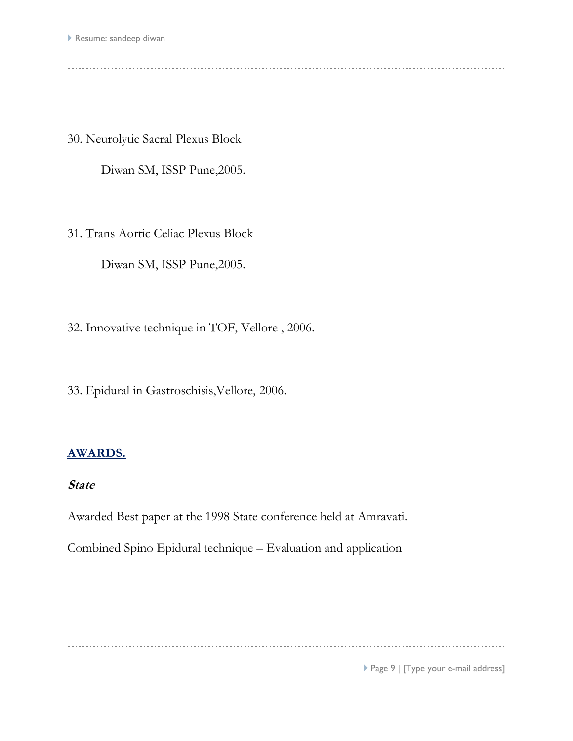30. Neurolytic Sacral Plexus Block

Diwan SM, ISSP Pune,2005.

31. Trans Aortic Celiac Plexus Block

Diwan SM, ISSP Pune,2005.

32. Innovative technique in TOF, Vellore , 2006.

33. Epidural in Gastroschisis,Vellore, 2006.

# **AWARDS.**

# **State**

Awarded Best paper at the 1998 State conference held at Amravati.

Combined Spino Epidural technique – Evaluation and application

Page 9 | [Type your e-mail address]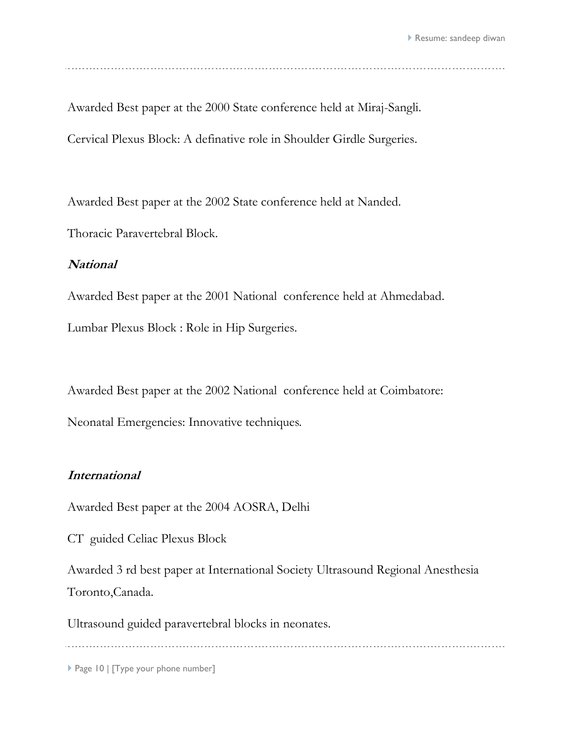Awarded Best paper at the 2000 State conference held at Miraj-Sangli. Cervical Plexus Block: A definative role in Shoulder Girdle Surgeries.

Awarded Best paper at the 2002 State conference held at Nanded.

Thoracic Paravertebral Block.

#### **National**

Awarded Best paper at the 2001 National conference held at Ahmedabad. Lumbar Plexus Block : Role in Hip Surgeries.

Awarded Best paper at the 2002 National conference held at Coimbatore:

Neonatal Emergencies: Innovative techniques.

#### **International**

Awarded Best paper at the 2004 AOSRA, Delhi

CT guided Celiac Plexus Block

Awarded 3 rd best paper at International Society Ultrasound Regional Anesthesia Toronto,Canada.

Ultrasound guided paravertebral blocks in neonates.

Page 10 | [Type your phone number]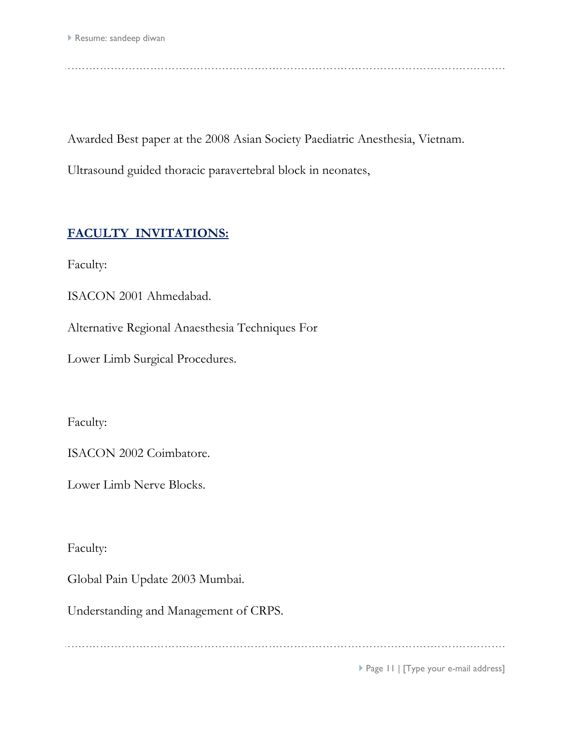Awarded Best paper at the 2008 Asian Society Paediatric Anesthesia, Vietnam.

Ultrasound guided thoracic paravertebral block in neonates,

# **FACULTY INVITATIONS:**

Faculty:

ISACON 2001 Ahmedabad.

Alternative Regional Anaesthesia Techniques For

Lower Limb Surgical Procedures.

Faculty:

ISACON 2002 Coimbatore.

Lower Limb Nerve Blocks.

Faculty:

Global Pain Update 2003 Mumbai.

Understanding and Management of CRPS.

▶ Page II | [Type your e-mail address]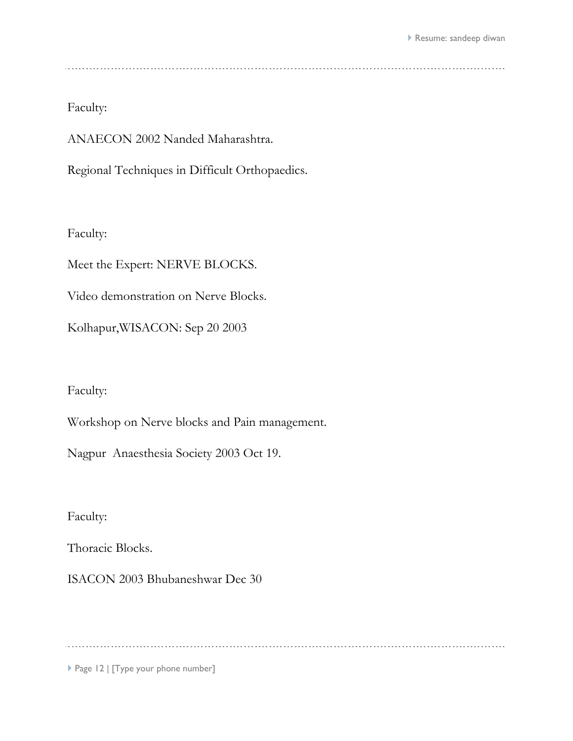Faculty:

ANAECON 2002 Nanded Maharashtra.

Regional Techniques in Difficult Orthopaedics.

Faculty:

Meet the Expert: NERVE BLOCKS.

Video demonstration on Nerve Blocks.

Kolhapur,WISACON: Sep 20 2003

Faculty:

Workshop on Nerve blocks and Pain management.

Nagpur Anaesthesia Society 2003 Oct 19.

Faculty:

Thoracic Blocks.

ISACON 2003 Bhubaneshwar Dec 30

Page 12 | [Type your phone number]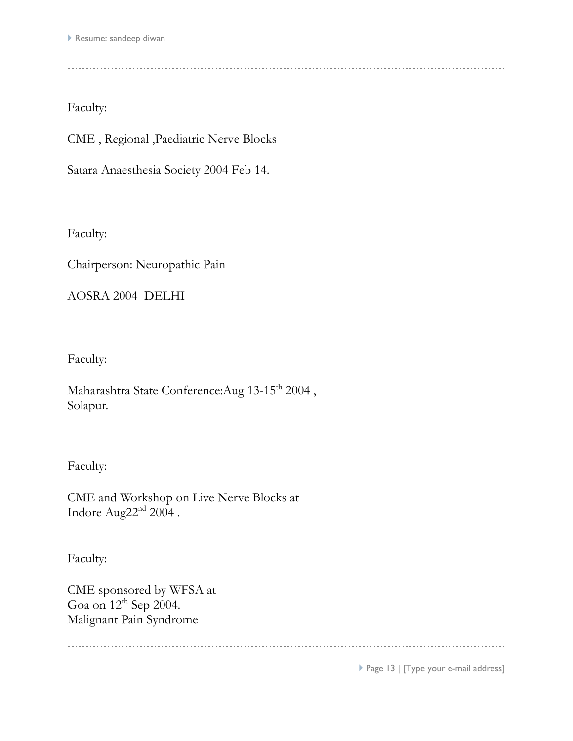CME , Regional ,Paediatric Nerve Blocks

Satara Anaesthesia Society 2004 Feb 14.

Faculty:

Chairperson: Neuropathic Pain

AOSRA 2004 DELHI

Faculty:

Maharashtra State Conference: Aug 13-15<sup>th</sup> 2004, Solapur.

Faculty:

CME and Workshop on Live Nerve Blocks at Indore Aug $22<sup>nd</sup> 2004$ .

Faculty:

CME sponsored by WFSA at Goa on 12<sup>th</sup> Sep 2004. Malignant Pain Syndrome

▶ Page 13 | [Type your e-mail address]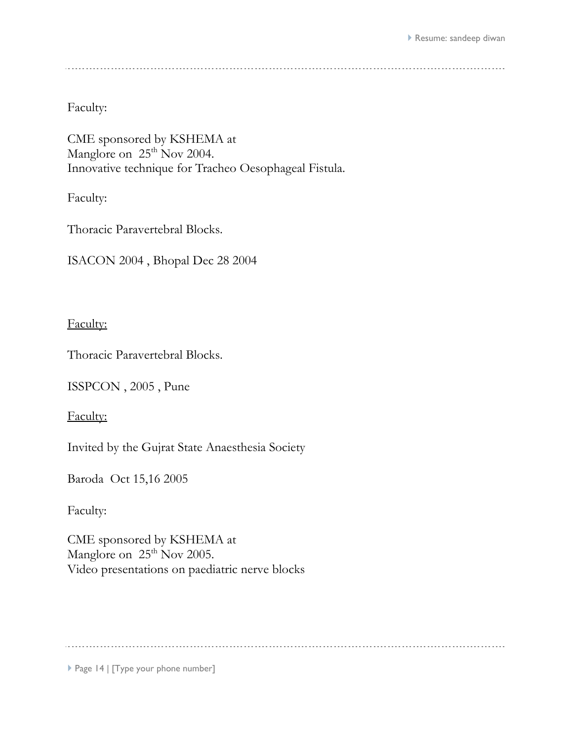CME sponsored by KSHEMA at Manglore on  $25<sup>th</sup>$  Nov 2004. Innovative technique for Tracheo Oesophageal Fistula.

Faculty:

Thoracic Paravertebral Blocks.

ISACON 2004 , Bhopal Dec 28 2004

Faculty:

Thoracic Paravertebral Blocks.

ISSPCON , 2005 , Pune

Faculty:

Invited by the Gujrat State Anaesthesia Society

Baroda Oct 15,16 2005

Faculty:

CME sponsored by KSHEMA at Manglore on 25<sup>th</sup> Nov 2005. Video presentations on paediatric nerve blocks

Page 14 | [Type your phone number]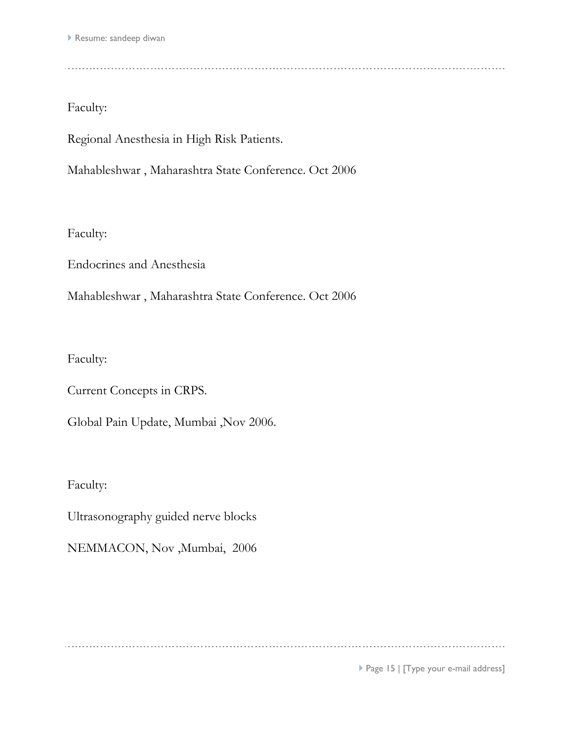Regional Anesthesia in High Risk Patients.

Mahableshwar , Maharashtra State Conference. Oct 2006

Faculty:

Endocrines and Anesthesia

Mahableshwar , Maharashtra State Conference. Oct 2006

Faculty:

Current Concepts in CRPS.

Global Pain Update, Mumbai ,Nov 2006.

Faculty:

Ultrasonography guided nerve blocks

NEMMACON, Nov ,Mumbai, 2006

▶ Page 15 | [Type your e-mail address]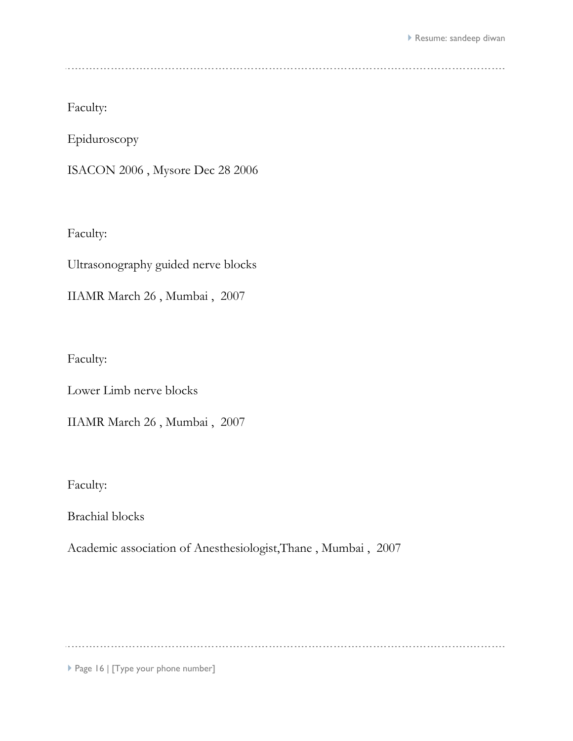Epiduroscopy

ISACON 2006 , Mysore Dec 28 2006

Faculty:

Ultrasonography guided nerve blocks

IIAMR March 26 , Mumbai , 2007

Faculty:

Lower Limb nerve blocks

IIAMR March 26 , Mumbai , 2007

Faculty:

Brachial blocks

Academic association of Anesthesiologist,Thane , Mumbai , 2007

Page 16 | [Type your phone number]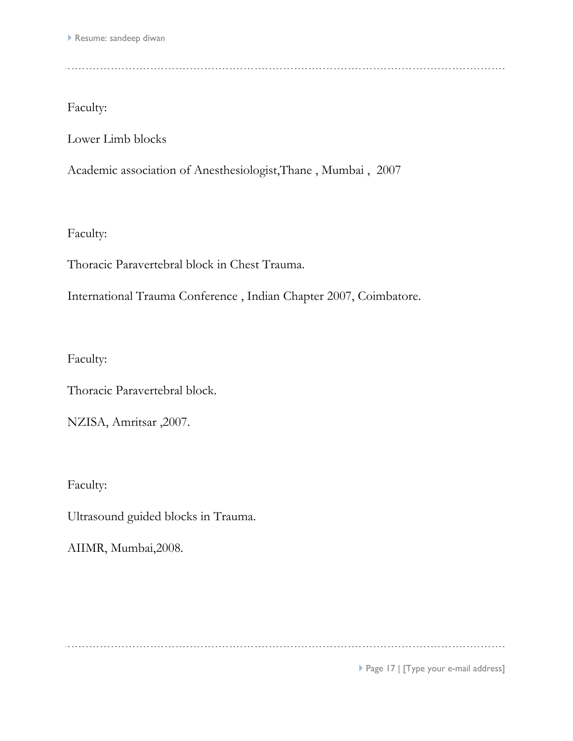Faculty:

Lower Limb blocks

Academic association of Anesthesiologist,Thane , Mumbai , 2007

Faculty:

Thoracic Paravertebral block in Chest Trauma.

International Trauma Conference , Indian Chapter 2007, Coimbatore.

Faculty:

Thoracic Paravertebral block.

NZISA, Amritsar ,2007.

Faculty:

Ultrasound guided blocks in Trauma.

AIIMR, Mumbai,2008.

Page 17 | [Type your e-mail address]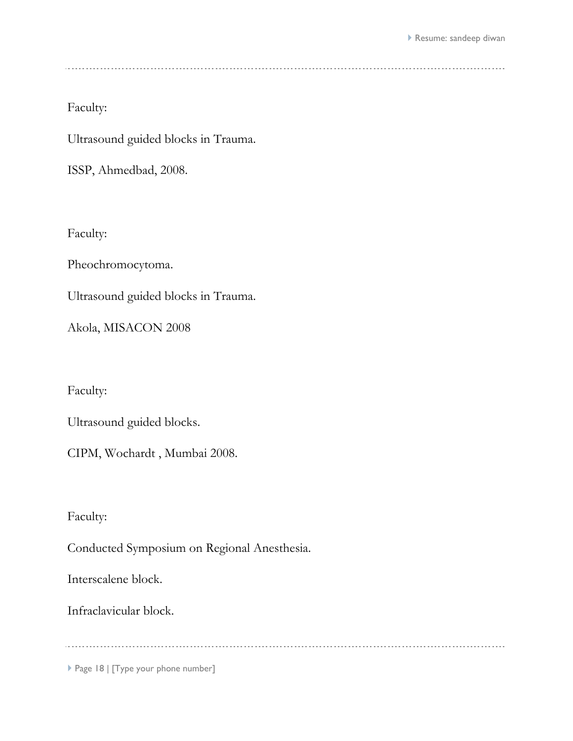Faculty:

Ultrasound guided blocks in Trauma.

ISSP, Ahmedbad, 2008.

Faculty:

Pheochromocytoma.

Ultrasound guided blocks in Trauma.

Akola, MISACON 2008

Faculty:

Ultrasound guided blocks.

CIPM, Wochardt , Mumbai 2008.

Faculty:

Conducted Symposium on Regional Anesthesia.

Interscalene block.

Infraclavicular block.

Page 18 | [Type your phone number]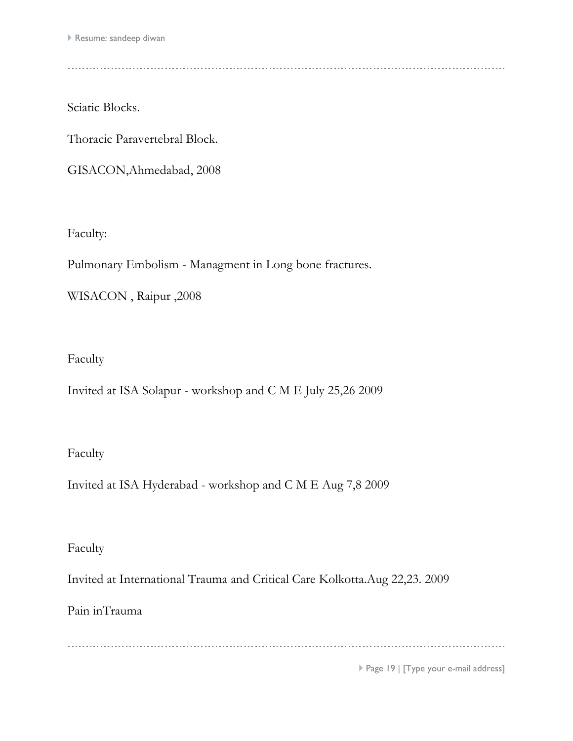Sciatic Blocks.

Thoracic Paravertebral Block.

GISACON,Ahmedabad, 2008

Faculty:

Pulmonary Embolism - Managment in Long bone fractures.

WISACON , Raipur ,2008

Faculty

Invited at ISA Solapur - workshop and C M E July 25,26 2009

Faculty

Invited at ISA Hyderabad - workshop and C M E Aug 7,8 2009

Faculty

Invited at International Trauma and Critical Care Kolkotta.Aug 22,23. 2009

Pain inTrauma

Page 19 | [Type your e-mail address]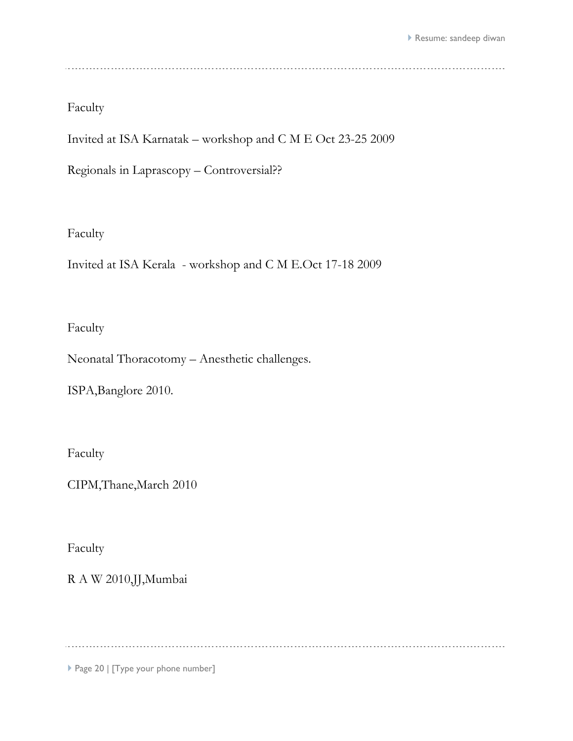Faculty

Invited at ISA Karnatak – workshop and C M E Oct 23-25 2009

Regionals in Laprascopy – Controversial??

# Faculty

Invited at ISA Kerala - workshop and C M E.Oct 17-18 2009

#### Faculty

Neonatal Thoracotomy – Anesthetic challenges.

ISPA,Banglore 2010.

Faculty

CIPM,Thane,March 2010

Faculty

R A W 2010,JJ,Mumbai

Page 20 | [Type your phone number]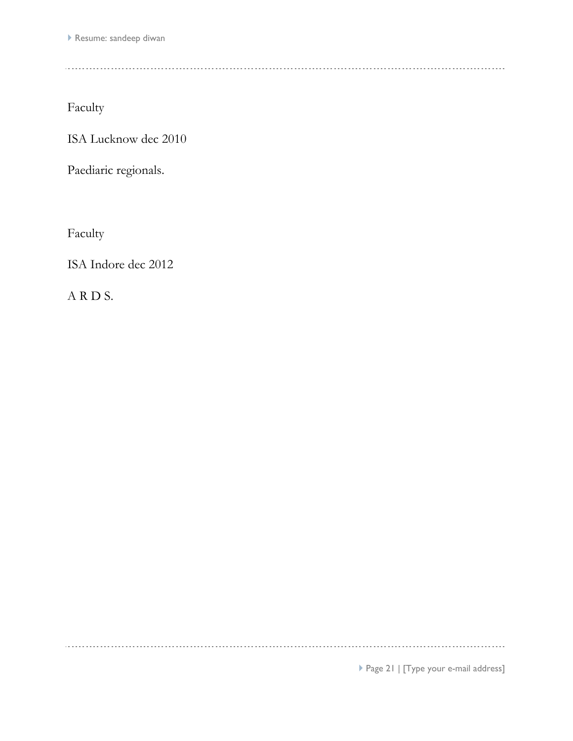Faculty

ISA Lucknow dec 2010

Paediaric regionals.

Faculty

ISA Indore dec 2012

A R D S.

Page 21 | [Type your e-mail address]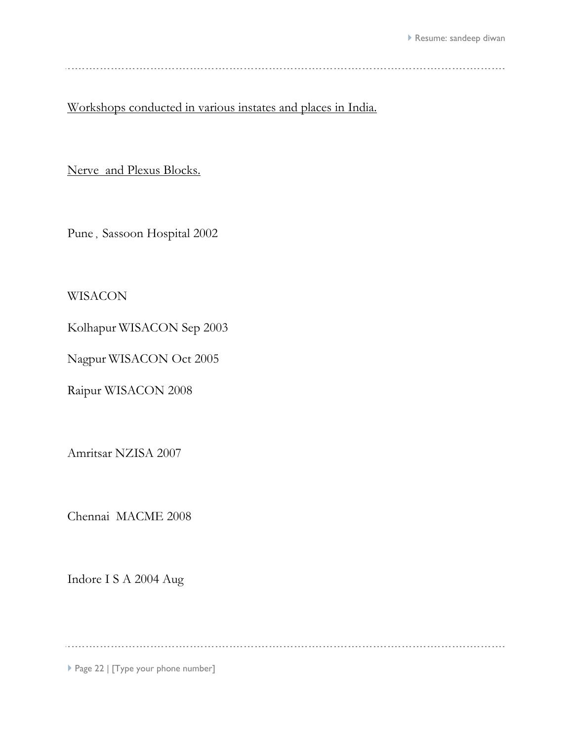---------------------------

Workshops conducted in various instates and places in India.

Nerve and Plexus Blocks.

Pune , Sassoon Hospital 2002

WISACON

Kolhapur WISACON Sep 2003

Nagpur WISACON Oct 2005

Raipur WISACON 2008

Amritsar NZISA 2007

Chennai MACME 2008

Indore I S A 2004 Aug

. . . . . . . . . . . . . . . . . . . .

Page 22 | [Type your phone number]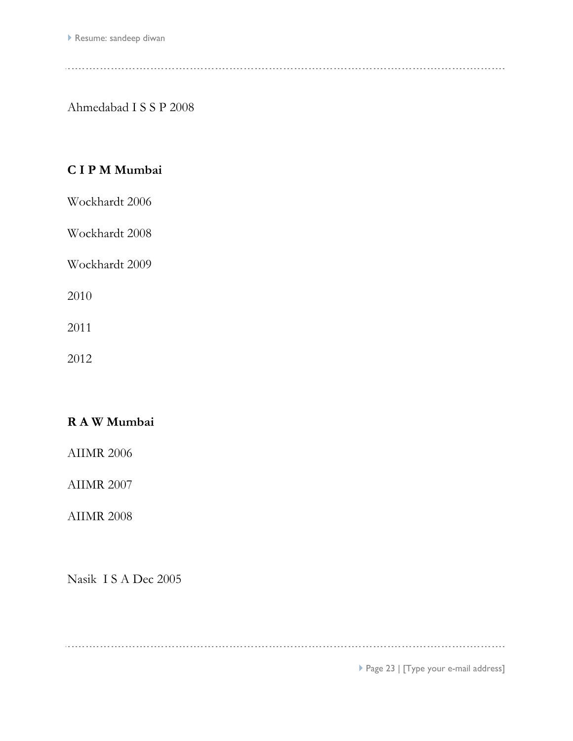Ahmedabad I S S P 2008

# **C I P M Mumbai**

Wockhardt 2006

Wockhardt 2008

Wockhardt 2009

2010

2011

2012

# **R A W Mumbai**

AIIMR 2006

AIIMR 2007

AIIMR 2008

Nasik I S A Dec 2005

Page 23 | [Type your e-mail address]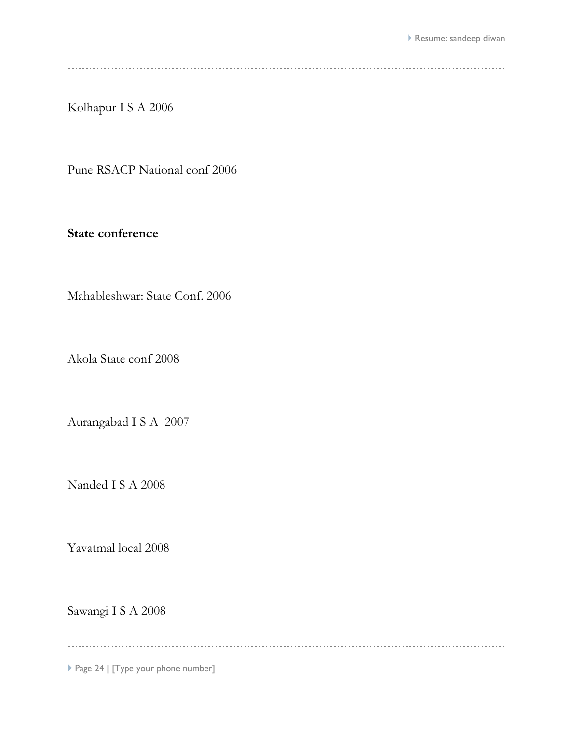Kolhapur I S A 2006

Pune RSACP National conf 2006

**State conference**

Mahableshwar: State Conf. 2006

Akola State conf 2008

Aurangabad I S A 2007

Nanded I S A 2008

Yavatmal local 2008

Sawangi I S A 2008

Page 24 | [Type your phone number]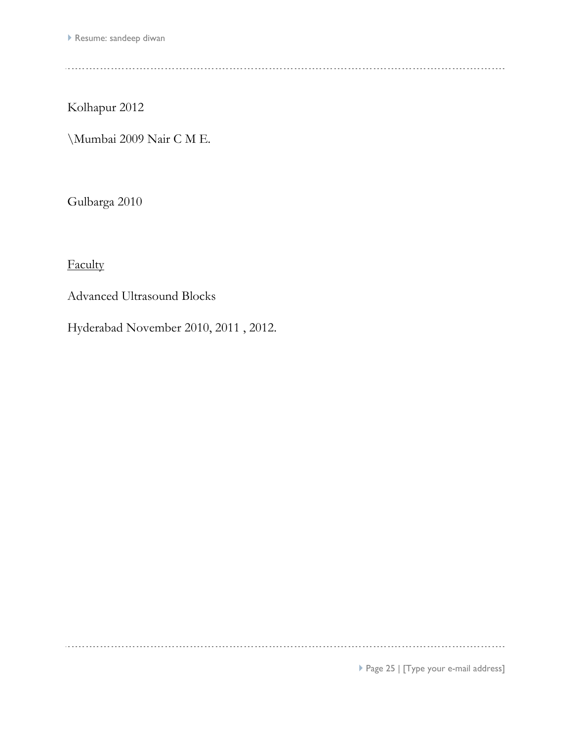Kolhapur 2012

\Mumbai 2009 Nair C M E.

Gulbarga 2010

**Faculty** 

Advanced Ultrasound Blocks

Hyderabad November 2010, 2011 , 2012.

Page 25 | [Type your e-mail address]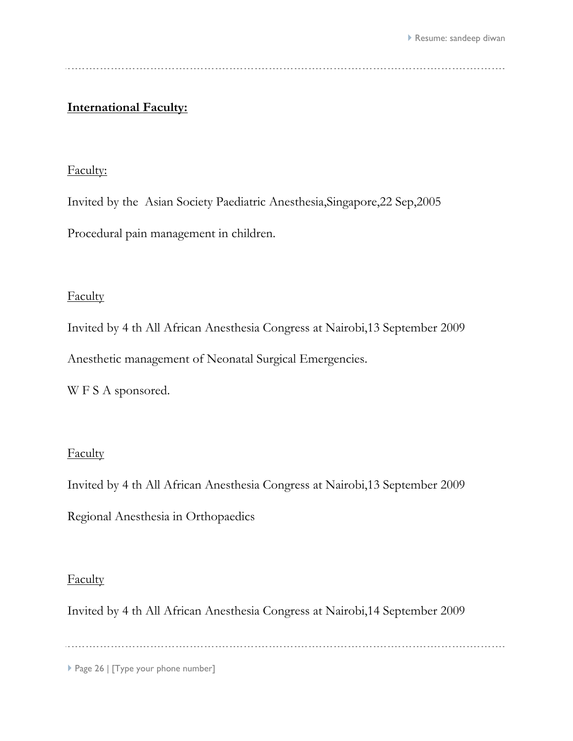# **International Faculty:**

#### Faculty:

Invited by the Asian Society Paediatric Anesthesia,Singapore,22 Sep,2005

Procedural pain management in children.

## **Faculty**

Invited by 4 th All African Anesthesia Congress at Nairobi,13 September 2009

Anesthetic management of Neonatal Surgical Emergencies.

W F S A sponsored.

#### Faculty

Invited by 4 th All African Anesthesia Congress at Nairobi,13 September 2009

Regional Anesthesia in Orthopaedics

#### **Faculty**

Invited by 4 th All African Anesthesia Congress at Nairobi,14 September 2009

Page 26 | [Type your phone number]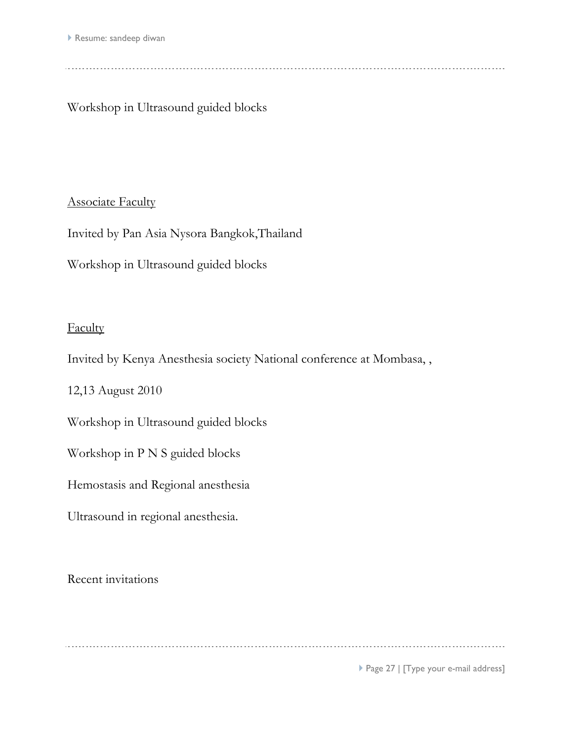Workshop in Ultrasound guided blocks

# **Associate Faculty**

Invited by Pan Asia Nysora Bangkok,Thailand

Workshop in Ultrasound guided blocks

# **Faculty**

Invited by Kenya Anesthesia society National conference at Mombasa, ,

12,13 August 2010

Workshop in Ultrasound guided blocks

Workshop in P N S guided blocks

Hemostasis and Regional anesthesia

Ultrasound in regional anesthesia.

Recent invitations

Page 27 | [Type your e-mail address]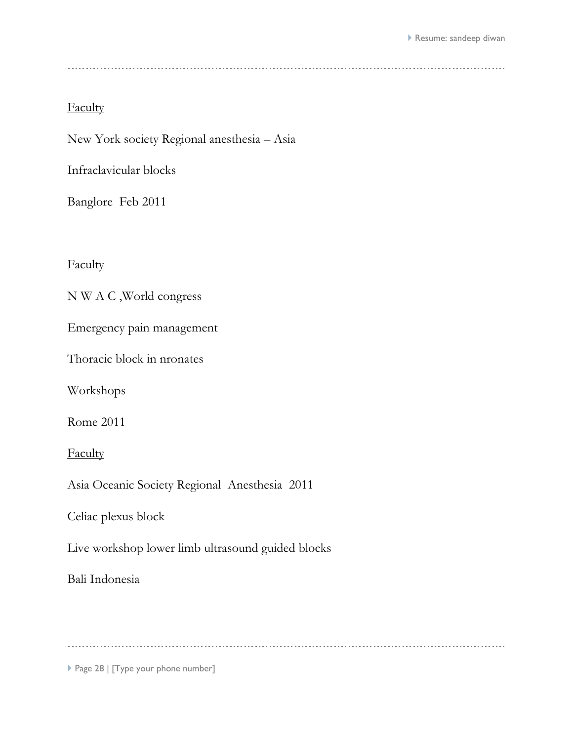New York society Regional anesthesia – Asia

Infraclavicular blocks

Banglore Feb 2011

**Faculty** 

N W A C ,World congress

Emergency pain management

Thoracic block in nronates

Workshops

Rome 2011

**Faculty** 

Asia Oceanic Society Regional Anesthesia 2011

Celiac plexus block

Live workshop lower limb ultrasound guided blocks

Bali Indonesia

Page 28 | [Type your phone number]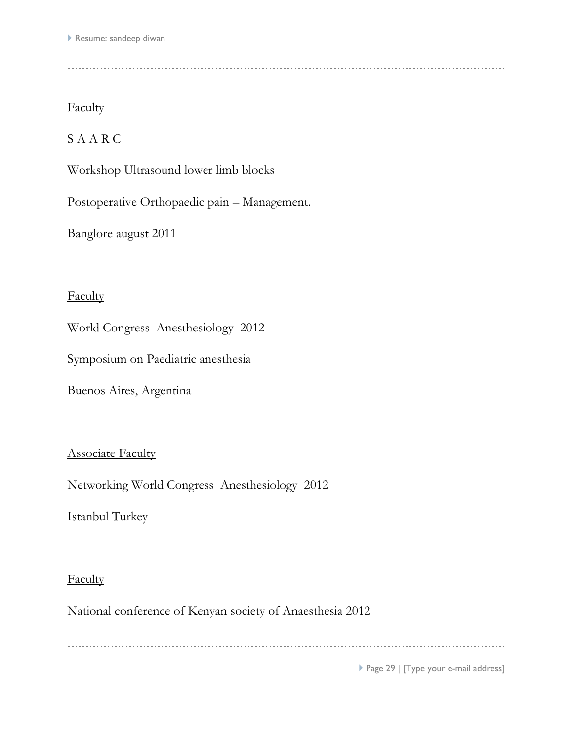# S A A R C

Workshop Ultrasound lower limb blocks

Postoperative Orthopaedic pain – Management.

Banglore august 2011

## **Faculty**

World Congress Anesthesiology 2012

Symposium on Paediatric anesthesia

Buenos Aires, Argentina

#### **Associate Faculty**

Networking World Congress Anesthesiology 2012

Istanbul Turkey

## **Faculty**

National conference of Kenyan society of Anaesthesia 2012

▶ Page 29 | [Type your e-mail address]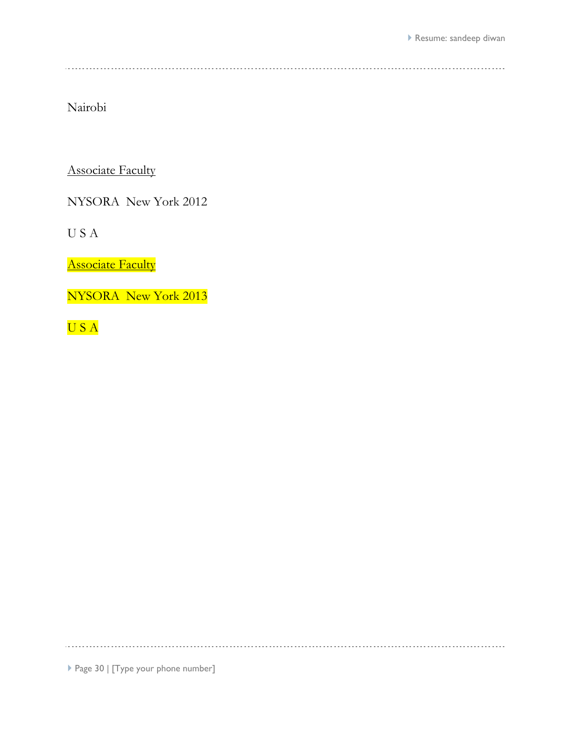<u>. . . . . . . . . . . . . . .</u>

Nairobi

**Associate Faculty** 

NYSORA New York 2012

U S A

**Associate Faculty** 

NYSORA New York 2013

U S A

Page 30 | [Type your phone number]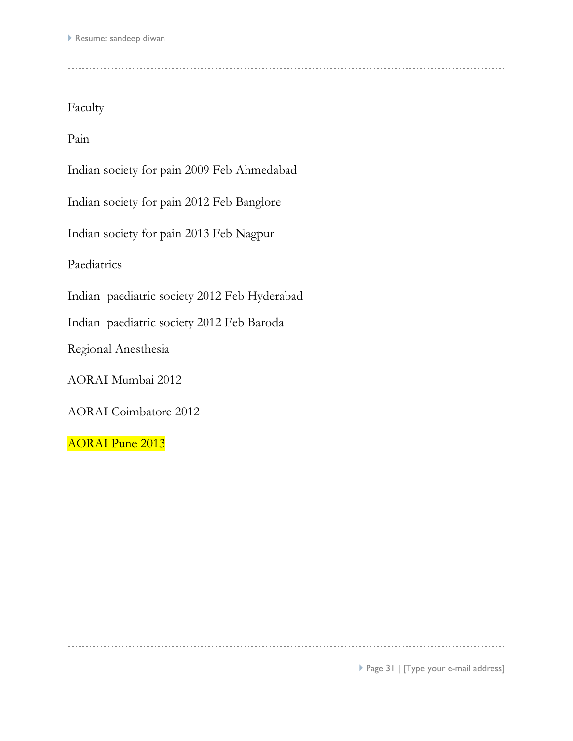Pain

Indian society for pain 2009 Feb Ahmedabad

Indian society for pain 2012 Feb Banglore

Indian society for pain 2013 Feb Nagpur

Paediatrics

Indian paediatric society 2012 Feb Hyderabad

Indian paediatric society 2012 Feb Baroda

Regional Anesthesia

AORAI Mumbai 2012

AORAI Coimbatore 2012

AORAI Pune 2013

Page 31 | [Type your e-mail address]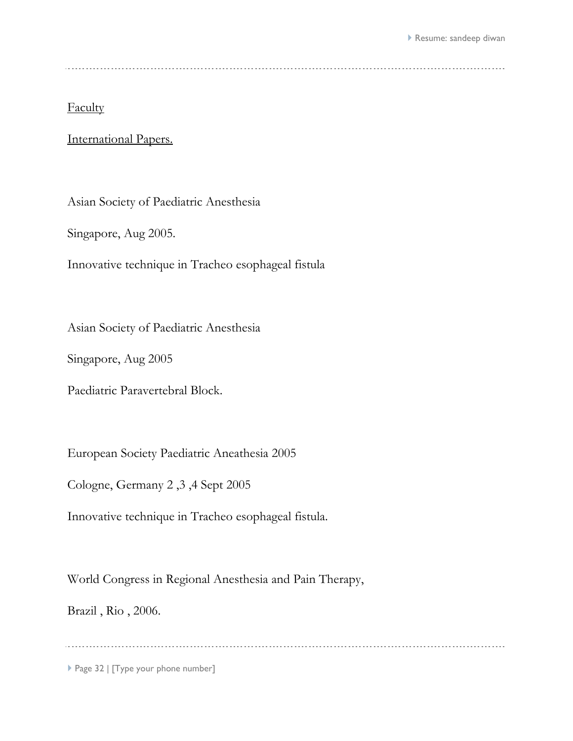International Papers.

Asian Society of Paediatric Anesthesia

Singapore, Aug 2005.

Innovative technique in Tracheo esophageal fistula

Asian Society of Paediatric Anesthesia

Singapore, Aug 2005

Paediatric Paravertebral Block.

European Society Paediatric Aneathesia 2005

Cologne, Germany 2 ,3 ,4 Sept 2005

Innovative technique in Tracheo esophageal fistula.

World Congress in Regional Anesthesia and Pain Therapy,

Brazil , Rio , 2006.

Page 32 | [Type your phone number]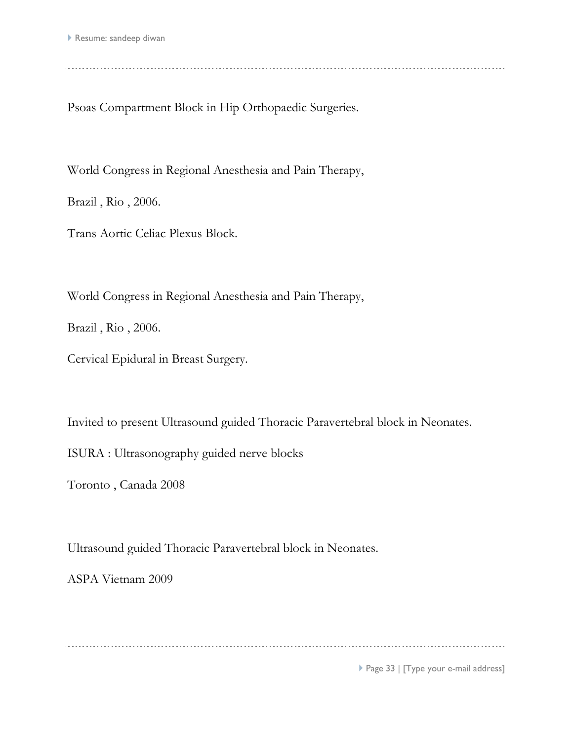Psoas Compartment Block in Hip Orthopaedic Surgeries.

World Congress in Regional Anesthesia and Pain Therapy,

Brazil , Rio , 2006.

Trans Aortic Celiac Plexus Block.

World Congress in Regional Anesthesia and Pain Therapy,

Brazil , Rio , 2006.

Cervical Epidural in Breast Surgery.

Invited to present Ultrasound guided Thoracic Paravertebral block in Neonates.

ISURA : Ultrasonography guided nerve blocks

Toronto , Canada 2008

Ultrasound guided Thoracic Paravertebral block in Neonates.

ASPA Vietnam 2009

▶ Page 33 | [Type your e-mail address]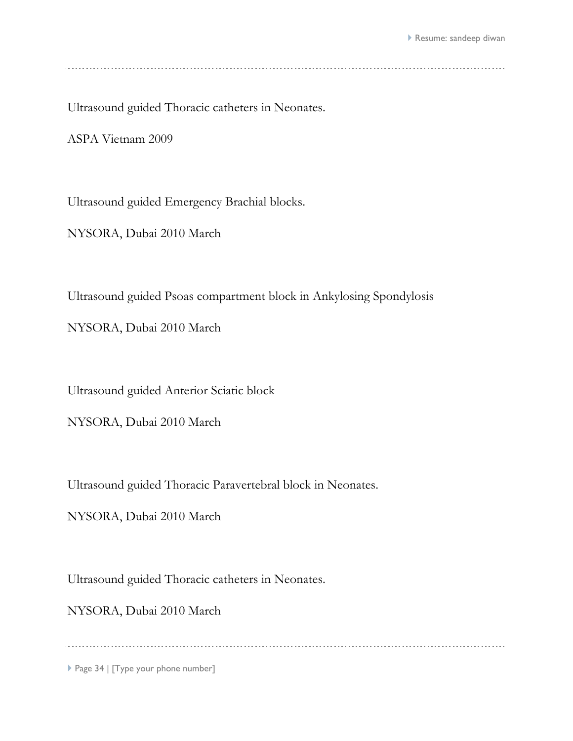Ultrasound guided Thoracic catheters in Neonates.

ASPA Vietnam 2009

Ultrasound guided Emergency Brachial blocks.

NYSORA, Dubai 2010 March

Ultrasound guided Psoas compartment block in Ankylosing Spondylosis

NYSORA, Dubai 2010 March

Ultrasound guided Anterior Sciatic block

NYSORA, Dubai 2010 March

Ultrasound guided Thoracic Paravertebral block in Neonates.

NYSORA, Dubai 2010 March

Ultrasound guided Thoracic catheters in Neonates.

NYSORA, Dubai 2010 March

Page 34 | [Type your phone number]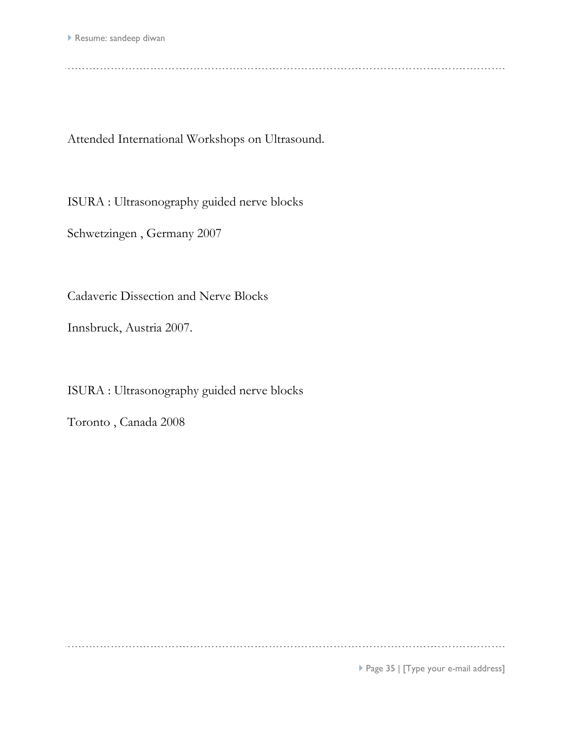Attended International Workshops on Ultrasound.

ISURA : Ultrasonography guided nerve blocks

Schwetzingen , Germany 2007

Cadaveric Dissection and Nerve Blocks

Innsbruck, Austria 2007.

ISURA : Ultrasonography guided nerve blocks

Toronto , Canada 2008

▶ Page 35 | [Type your e-mail address]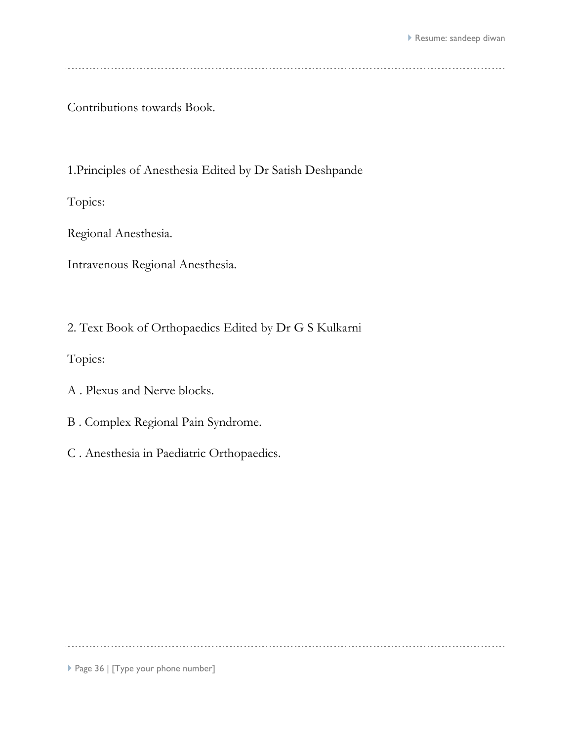Contributions towards Book.

1.Principles of Anesthesia Edited by Dr Satish Deshpande

Topics:

Regional Anesthesia.

Intravenous Regional Anesthesia.

2. Text Book of Orthopaedics Edited by Dr G S Kulkarni

Topics:

A . Plexus and Nerve blocks.

- B . Complex Regional Pain Syndrome.
- C . Anesthesia in Paediatric Orthopaedics.

Page 36 | [Type your phone number]